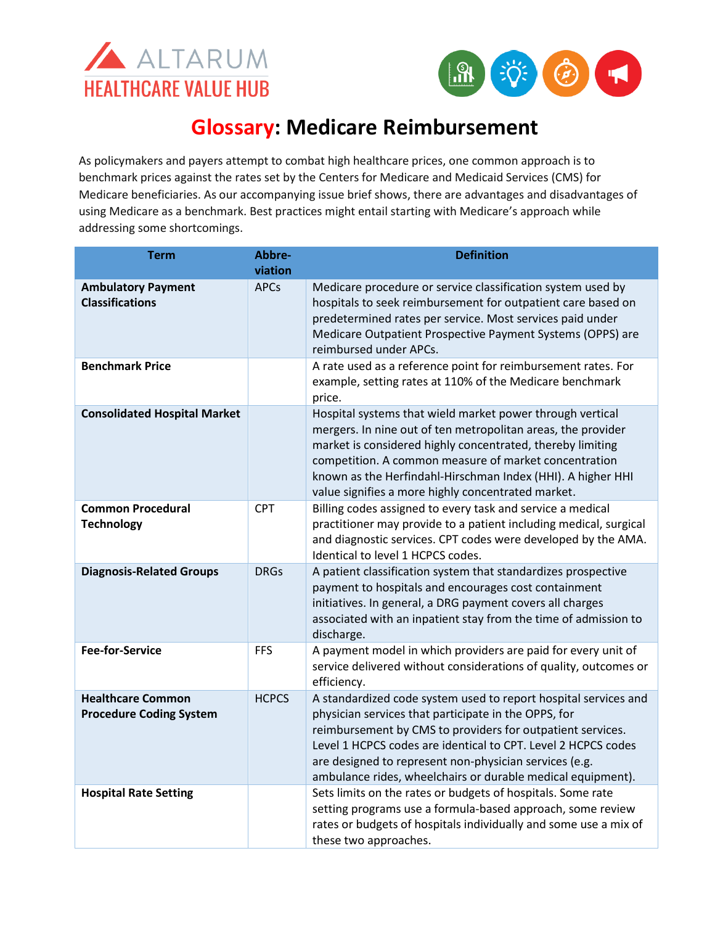



## **Glossary: Medicare Reimbursement**

As policymakers and payers attempt to combat high healthcare prices, one common approach is to benchmark prices against the rates set by the Centers for Medicare and Medicaid Services (CMS) for Medicare beneficiaries. As our accompanying issue brief shows, there are advantages and disadvantages of using Medicare as a benchmark. Best practices might entail starting with Medicare's approach while addressing some shortcomings.

| <b>Term</b>                                                | Abbre-<br>viation | <b>Definition</b>                                                                                                                                                                                                                                                                                                                                                               |
|------------------------------------------------------------|-------------------|---------------------------------------------------------------------------------------------------------------------------------------------------------------------------------------------------------------------------------------------------------------------------------------------------------------------------------------------------------------------------------|
| <b>Ambulatory Payment</b><br><b>Classifications</b>        | <b>APCs</b>       | Medicare procedure or service classification system used by<br>hospitals to seek reimbursement for outpatient care based on<br>predetermined rates per service. Most services paid under<br>Medicare Outpatient Prospective Payment Systems (OPPS) are<br>reimbursed under APCs.                                                                                                |
| <b>Benchmark Price</b>                                     |                   | A rate used as a reference point for reimbursement rates. For<br>example, setting rates at 110% of the Medicare benchmark<br>price.                                                                                                                                                                                                                                             |
| <b>Consolidated Hospital Market</b>                        |                   | Hospital systems that wield market power through vertical<br>mergers. In nine out of ten metropolitan areas, the provider<br>market is considered highly concentrated, thereby limiting<br>competition. A common measure of market concentration<br>known as the Herfindahl-Hirschman Index (HHI). A higher HHI<br>value signifies a more highly concentrated market.           |
| <b>Common Procedural</b><br><b>Technology</b>              | <b>CPT</b>        | Billing codes assigned to every task and service a medical<br>practitioner may provide to a patient including medical, surgical<br>and diagnostic services. CPT codes were developed by the AMA.<br>Identical to level 1 HCPCS codes.                                                                                                                                           |
| <b>Diagnosis-Related Groups</b>                            | <b>DRGs</b>       | A patient classification system that standardizes prospective<br>payment to hospitals and encourages cost containment<br>initiatives. In general, a DRG payment covers all charges<br>associated with an inpatient stay from the time of admission to<br>discharge.                                                                                                             |
| <b>Fee-for-Service</b>                                     | <b>FFS</b>        | A payment model in which providers are paid for every unit of<br>service delivered without considerations of quality, outcomes or<br>efficiency.                                                                                                                                                                                                                                |
| <b>Healthcare Common</b><br><b>Procedure Coding System</b> | <b>HCPCS</b>      | A standardized code system used to report hospital services and<br>physician services that participate in the OPPS, for<br>reimbursement by CMS to providers for outpatient services.<br>Level 1 HCPCS codes are identical to CPT. Level 2 HCPCS codes<br>are designed to represent non-physician services (e.g.<br>ambulance rides, wheelchairs or durable medical equipment). |
| <b>Hospital Rate Setting</b>                               |                   | Sets limits on the rates or budgets of hospitals. Some rate<br>setting programs use a formula-based approach, some review<br>rates or budgets of hospitals individually and some use a mix of<br>these two approaches.                                                                                                                                                          |